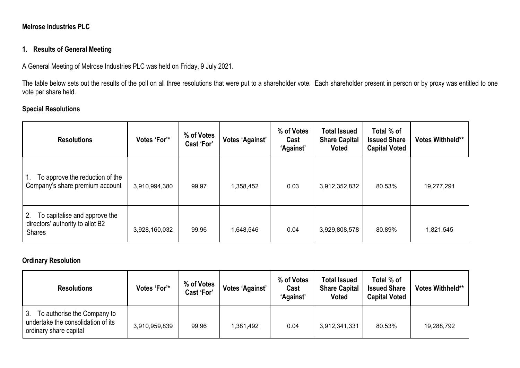### **Melrose Industries PLC**

### **1. Results of General Meeting**

A General Meeting of Melrose Industries PLC was held on Friday, 9 July 2021.

The table below sets out the results of the poll on all three resolutions that were put to a shareholder vote. Each shareholder present in person or by proxy was entitled to one vote per share held.

# **Special Resolutions**

| <b>Resolutions</b>                                                                       | Votes 'For'*  | % of Votes<br>Cast 'For' | Votes 'Against' | % of Votes<br>Cast<br>'Against' | <b>Total Issued</b><br><b>Share Capital</b><br><b>Voted</b> | Total % of<br><b>Issued Share</b><br><b>Capital Voted</b> | <b>Votes Withheld**</b> |
|------------------------------------------------------------------------------------------|---------------|--------------------------|-----------------|---------------------------------|-------------------------------------------------------------|-----------------------------------------------------------|-------------------------|
| To approve the reduction of the<br>Company's share premium account                       | 3,910,994,380 | 99.97                    | 1,358,452       | 0.03                            | 3,912,352,832                                               | 80.53%                                                    | 19,277,291              |
| 2.<br>To capitalise and approve the<br>directors' authority to allot B2<br><b>Shares</b> | 3,928,160,032 | 99.96                    | 1,648,546       | 0.04                            | 3,929,808,578                                               | 80.89%                                                    | 1,821,545               |

## **Ordinary Resolution**

| <b>Resolutions</b>                                                                                 | Votes 'For'*  | % of Votes<br>Cast 'For' | Votes 'Against' | % of Votes<br>Cast<br>'Against' | <b>Total Issued</b><br><b>Share Capital</b><br><b>Voted</b> | Total % of<br><b>Issued Share</b><br><b>Capital Voted</b> | <b>Votes Withheld**</b> |
|----------------------------------------------------------------------------------------------------|---------------|--------------------------|-----------------|---------------------------------|-------------------------------------------------------------|-----------------------------------------------------------|-------------------------|
| -3.<br>To authorise the Company to<br>undertake the consolidation of its<br>ordinary share capital | 3,910,959,839 | 99.96                    | 1,381,492       | 0.04                            | 3,912,341,331                                               | 80.53%                                                    | 19,288,792              |